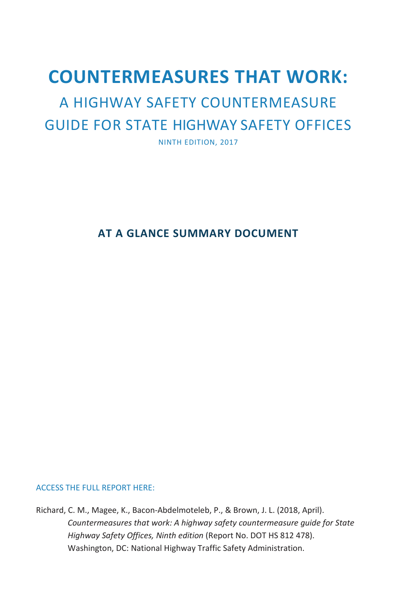# **COUNTERMEASURES THAT WORK:**

# A HIGHWAY SAFETY COUNTERMEASURE GUIDE FOR STATE HIGHWAY SAFETY OFFICES

NINTH EDITION, 2017

#### **AT A GLANCE SUMMARY DOCUMENT**

#### ACCESS THE FULL REPORT HERE:

Richard, C. M., Magee, K., Bacon-Abdelmoteleb, P., & Brown, J. L. (2018, April). *Countermeasures that work: A highway safety countermeasure guide for State Highway Safety Offices, Ninth edition* (Report No. DOT HS 812 478). Washington, DC: National Highway Traffic Safety Administration.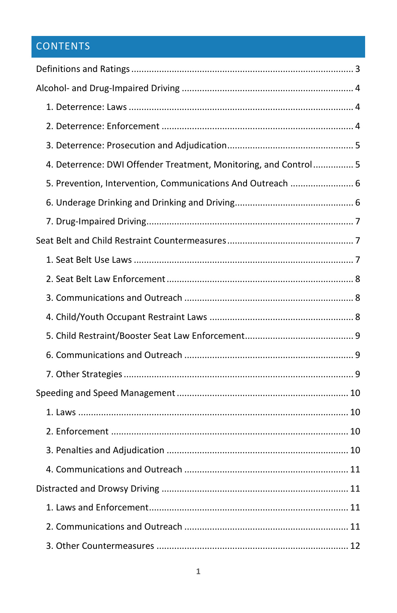## **CONTENTS**

| 4. Deterrence: DWI Offender Treatment, Monitoring, and Control 5 |  |
|------------------------------------------------------------------|--|
| 5. Prevention, Intervention, Communications And Outreach  6      |  |
|                                                                  |  |
|                                                                  |  |
|                                                                  |  |
|                                                                  |  |
|                                                                  |  |
|                                                                  |  |
|                                                                  |  |
|                                                                  |  |
|                                                                  |  |
|                                                                  |  |
|                                                                  |  |
|                                                                  |  |
|                                                                  |  |
|                                                                  |  |
|                                                                  |  |
|                                                                  |  |
|                                                                  |  |
|                                                                  |  |
|                                                                  |  |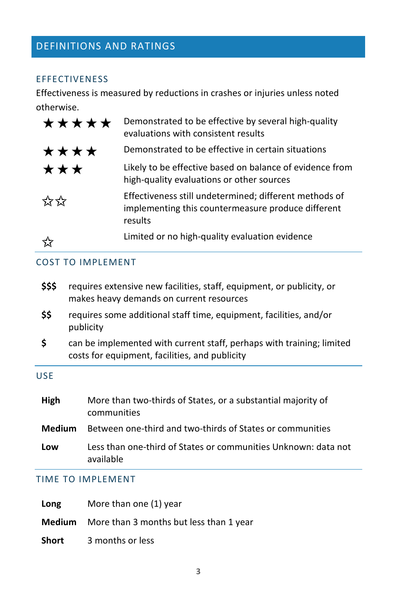### <span id="page-3-0"></span>DEFINITIONS AND RATINGS

#### EFFECTIVENESS

Effectiveness is measured by reductions in crashes or injuries unless noted otherwise.

| ***** | Demonstrated to be effective by several high-quality<br>evaluations with consistent results                             |
|-------|-------------------------------------------------------------------------------------------------------------------------|
| ****  | Demonstrated to be effective in certain situations                                                                      |
| ***   | Likely to be effective based on balance of evidence from<br>high-quality evaluations or other sources                   |
| ☆☆    | Effectiveness still undetermined; different methods of<br>implementing this countermeasure produce different<br>results |
|       | Limited or no high-quality evaluation evidence                                                                          |

#### COST TO IMPLEMENT

| \$\$\$ | requires extensive new facilities, staff, equipment, or publicity, or |
|--------|-----------------------------------------------------------------------|
|        | makes heavy demands on current resources                              |
|        |                                                                       |

- **\$\$** requires some additional staff time, equipment, facilities, and/or publicity
- **\$** can be implemented with current staff, perhaps with training; limited costs for equipment, facilities, and publicity

#### USE

| High          | More than two-thirds of States, or a substantial majority of<br>communities |
|---------------|-----------------------------------------------------------------------------|
| <b>Medium</b> | Between one-third and two-thirds of States or communities                   |
| Low           | Less than one-third of States or communities Unknown: data not<br>available |

#### TIME TO IMPLEMENT

| Long   | More than one (1) year                  |
|--------|-----------------------------------------|
| Medium | More than 3 months but less than 1 year |
| Short  | 3 months or less                        |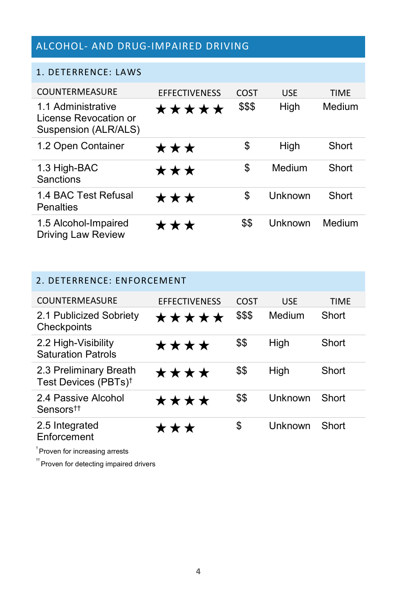### <span id="page-4-0"></span>ALCOHOL- AND DRUG-IMPAIRED DRIVING

#### <span id="page-4-1"></span>1. DETERRENCE: LAWS

| COUNTERMEASURE                                                      | <b>EFFECTIVENESS</b> | COST   | <b>USE</b> | <b>TIME</b> |
|---------------------------------------------------------------------|----------------------|--------|------------|-------------|
| 1.1 Administrative<br>License Revocation or<br>Suspension (ALR/ALS) | ★★★★★                | \$\$\$ | High       | Medium      |
| 1.2 Open Container                                                  | ★★★                  | \$     | High       | Short       |
| 1.3 High-BAC<br>Sanctions                                           | ★★★                  | \$     | Medium     | Short       |
| 1.4 BAC Test Refusal<br><b>Penalties</b>                            | ★★★                  | \$     | Unknown    | Short       |
| 1.5 Alcohol-Impaired<br><b>Driving Law Review</b>                   | ★★★                  | \$\$   | Unknown    | Medium      |

<span id="page-4-2"></span>

| 2. DETERRENCE: ENFORCEMENT                                 |                      |        |            |             |  |
|------------------------------------------------------------|----------------------|--------|------------|-------------|--|
| COUNTERMEASURE                                             | <b>EFFECTIVENESS</b> | COST   | <b>USE</b> | <b>TIME</b> |  |
| 2.1 Publicized Sobriety<br>Checkpoints                     | ★★★★★                | \$\$\$ | Medium     | Short       |  |
| 2.2 High-Visibility<br><b>Saturation Patrols</b>           | ★★★★                 | \$\$   | High       | Short       |  |
| 2.3 Preliminary Breath<br>Test Devices (PBTs) <sup>†</sup> | ★★★★                 | \$\$   | High       | Short       |  |
| 2.4 Passive Alcohol<br>Sensors <sup>††</sup>               | ★★★★                 | \$\$   | Unknown    | Short       |  |
| 2.5 Integrated<br>Enforcement                              | ★★★                  | \$     | Unknown    | Short       |  |

† Proven for increasing arrests

 $^\mathrm{^\mathrm{^\mathrm{ff}} }$ Proven for detecting impaired drivers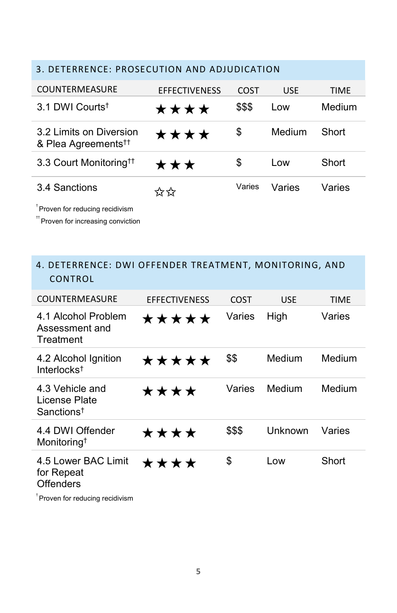## <span id="page-5-0"></span>3. DETERRENCE: PROSECUTION AND ADJUDICATION COUNTERMEASURE EFFECTIVENESS COST USE TIME 3.1 DWI Courts†  $\star \star \star \star$  \$\$\$ Low Medium 3.2 Limits on Diversion & Plea Agreements††  $\star \star \star \star$  \$ Medium Short 3.3 Court Monitoring<sup>††</sup>  $\star \star \star$   $\overline{\phantom{a}}$   $\overline{\phantom{a}}$  Low Short 3.4 Sanctions ✩✩ Varies Varies Varies

† Proven for reducing recidivism

 $^\mathrm{+}$ Proven for increasing conviction

#### <span id="page-5-1"></span>4. DETERRENCE: DWI OFFENDER TREATMENT, MONITORING, AND CONTROL

| COUNTERMEASURE                                                     | <b>EFFECTIVENESS</b> | COST   | <b>USE</b> | <b>TIME</b> |
|--------------------------------------------------------------------|----------------------|--------|------------|-------------|
| 4.1 Alcohol Problem<br>Assessment and<br>Treatment                 | *****                | Varies | High       | Varies      |
| 4.2 Alcohol Ignition<br>Interlocks <sup><math>\dagger</math></sup> | *****                | \$\$   | Medium     | Medium      |
| 4.3 Vehicle and<br>License Plate<br>Sanctions <sup>†</sup>         | ****                 | Varies | Medium     | Medium      |
| 4.4 DWI Offender<br>Monitoring <sup>†</sup>                        | ****                 | \$\$\$ | Unknown    | Varies      |
| 4.5 Lower BAC Limit<br>for Repeat<br>Offenders                     | ****                 | \$     | Low        | Short       |

 $^\dagger$ Proven for reducing recidivism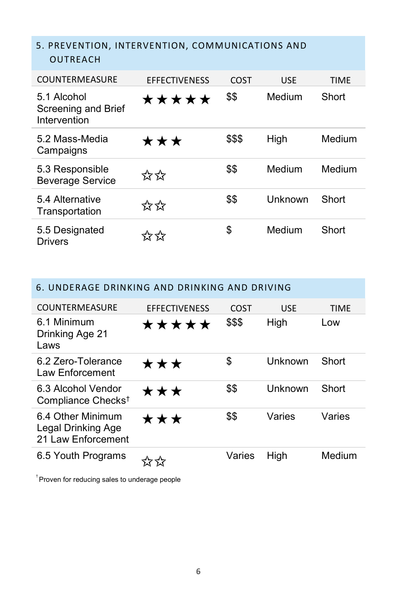#### <span id="page-6-0"></span>5. PREVENTION, INTERVENTION, COMMUNICATIONS AND OUTREACH

| <b>COUNTERMEASURE</b>                                     | <b>EFFECTIVENESS</b> | COST   | <b>USE</b> | <b>TIMF</b> |
|-----------------------------------------------------------|----------------------|--------|------------|-------------|
| 5.1 Alcohol<br><b>Screening and Brief</b><br>Intervention | *****                | \$\$   | Medium     | Short       |
| 5.2 Mass-Media<br>Campaigns                               | ★★★                  | \$\$\$ | High       | Medium      |
| 5.3 Responsible<br><b>Beverage Service</b>                | ☆☆                   | \$\$   | Medium     | Medium      |
| 5.4 Alternative<br>Transportation                         | ☆☆                   | \$\$   | Unknown    | Short       |
| 5.5 Designated<br><b>Drivers</b>                          | くシマン                 | \$     | Medium     | Short       |

<span id="page-6-1"></span>

| 6. UNDERAGE DRINKING AND DRINKING AND DRIVING                 |                      |        |         |             |  |  |
|---------------------------------------------------------------|----------------------|--------|---------|-------------|--|--|
| COUNTERMEASURE                                                | <b>EFFECTIVENESS</b> | COST   | USE     | <b>TIME</b> |  |  |
| 6.1 Minimum<br>Drinking Age 21<br>Laws                        | *****                | \$\$\$ | High    | Low         |  |  |
| 6.2 Zero-Tolerance<br>Law Enforcement                         | ***                  | \$     | Unknown | Short       |  |  |
| 6.3 Alcohol Vendor<br>Compliance Checks <sup>t</sup>          | ★★★                  | \$\$   | Unknown | Short       |  |  |
| 6.4 Other Minimum<br>Legal Drinking Age<br>21 Law Enforcement | ***                  | \$\$   | Varies  | Varies      |  |  |
| 6.5 Youth Programs                                            |                      | Varies | High    | Medium      |  |  |

 $^\dagger$ Proven for reducing sales to underage people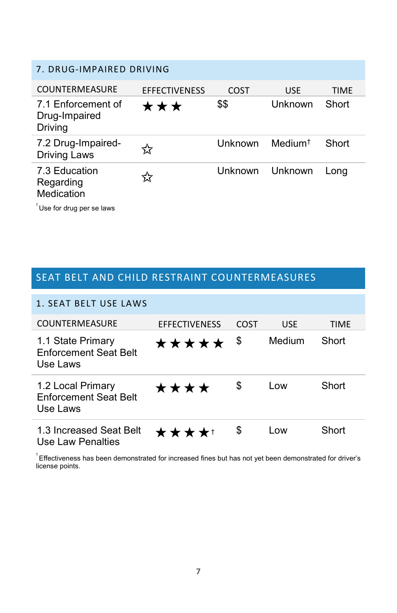<span id="page-7-0"></span>

| 7. DRUG-IMPAIRED DRIVING                       |                      |                |            |             |  |
|------------------------------------------------|----------------------|----------------|------------|-------------|--|
| COUNTERMEASURE                                 | <b>EFFECTIVENESS</b> | COST           | <b>USE</b> | <b>TIME</b> |  |
| 7.1 Enforcement of<br>Drug-Impaired<br>Driving | ***                  | \$\$           | Unknown    | Short       |  |
| 7.2 Drug-Impaired-<br><b>Driving Laws</b>      | ኢّি                  | Unknown        | Medium†    | Short       |  |
| 7.3 Education<br>Regarding<br>Medication       | 75                   | <b>Unknown</b> | Unknown    | Lona        |  |
| Use for drug per se laws                       |                      |                |            |             |  |

### <span id="page-7-1"></span>SEAT BELT AND CHILD RESTRAINT COUNTERMEASURES

<span id="page-7-2"></span>

| 1. SEAT BELT USE LAWS                                         |                      |      |            |             |
|---------------------------------------------------------------|----------------------|------|------------|-------------|
| COUNTERMEASURE                                                | <b>EFFECTIVENESS</b> | COST | <b>USE</b> | <b>TIMF</b> |
| 1.1 State Primary<br><b>Enforcement Seat Belt</b><br>Use Laws | *****                | \$   | Medium     | Short       |
| 1.2 Local Primary<br><b>Enforcement Seat Belt</b><br>Use Laws | ****                 | \$   | Low        | Short       |
| 1.3 Increased Seat Belt<br>Use Law Penalties                  | ★★★★†                | \$   | Low        | Short       |

 $^{\dagger}$ Effectiveness has been demonstrated for increased fines but has not yet been demonstrated for driver's license points.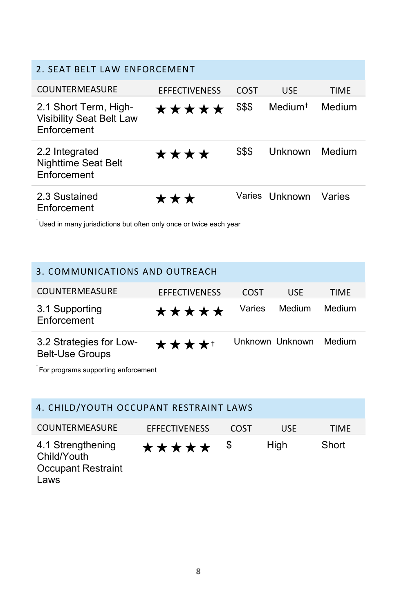<span id="page-8-0"></span>

| 2. SEAT BELT LAW ENFORCEMENT                                            |                      |        |                     |             |
|-------------------------------------------------------------------------|----------------------|--------|---------------------|-------------|
| COUNTERMEASURE                                                          | <b>EFFECTIVENESS</b> | COST   | <b>USE</b>          | <b>TIME</b> |
| 2.1 Short Term, High-<br><b>Visibility Seat Belt Law</b><br>Enforcement | *****                | \$\$\$ | Medium <sup>†</sup> | Medium      |
| 2.2 Integrated<br><b>Nighttime Seat Belt</b><br>Enforcement             | ****                 | \$\$\$ | Unknown             | Medium      |
| 2.3 Sustained<br>Enforcement                                            | ★★★                  |        | Varies Unknown      | Varies      |

 $^\dagger$ Used in many jurisdictions but often only once or twice each year

<span id="page-8-1"></span>

| 3. COMMUNICATIONS AND OUTREACH                    |                      |        |                 |        |
|---------------------------------------------------|----------------------|--------|-----------------|--------|
| <b>COUNTERMEASURE</b>                             | <b>EFFECTIVENESS</b> | COST   | <b>USE</b>      | TIME   |
| 3.1 Supporting<br>Enforcement                     | ★★★★★                | Varies | Medium          | Medium |
| 3.2 Strategies for Low-<br><b>Belt-Use Groups</b> | ★★★★↑                |        | Unknown Unknown | Medium |

 $<sup>†</sup>$  For programs supporting enforcement</sup>

<span id="page-8-2"></span>

| 4. CHILD/YOUTH OCCUPANT RESTRAINT LAWS                                             |       |    |      |       |  |
|------------------------------------------------------------------------------------|-------|----|------|-------|--|
| <b>COUNTERMEASURE</b><br><b>EFFECTIVENESS</b><br><b>TIMF</b><br><b>USE</b><br>COST |       |    |      |       |  |
| 4.1 Strengthening<br>Child/Youth<br><b>Occupant Restraint</b><br>Laws              | ***** | \$ | High | Short |  |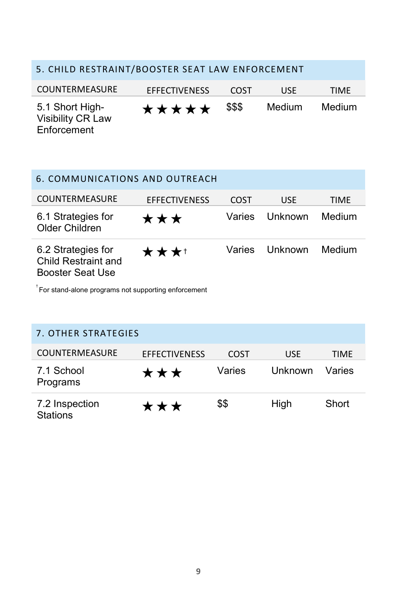### <span id="page-9-0"></span>5. CHILD RESTRAINT/BOOSTER SEAT LAW ENFORCEMENT

| COUNTERMEASURE                                      | <b>EFFECTIVENESS</b> | COST   | USE    | <b>TIMF</b> |
|-----------------------------------------------------|----------------------|--------|--------|-------------|
| 5.1 Short High-<br>Visibility CR Law<br>Enforcement | *****                | \$\$\$ | Medium | Medium      |

<span id="page-9-1"></span>

| 6. COMMUNICATIONS AND OUTREACH                                |                      |        |            |        |
|---------------------------------------------------------------|----------------------|--------|------------|--------|
| <b>COUNTERMEASURE</b>                                         | <b>EFFECTIVENESS</b> | COST   | <b>USE</b> | TIME   |
| 6.1 Strategies for<br>Older Children                          | ★★★                  | Varies | Unknown    | Medium |
| 6.2 Strategies for<br>Child Restraint and<br>Booster Seat Use | ★★★↑                 | Varies | Unknown    | Medium |

 $^\dagger$ For stand-alone programs not supporting enforcement

<span id="page-9-2"></span>

| 7. OTHER STRATEGIES               |                      |        |            |        |
|-----------------------------------|----------------------|--------|------------|--------|
| <b>COUNTERMEASURE</b>             | <b>EFFECTIVENESS</b> | COST   | <b>USE</b> | TIMF   |
| 7.1 School<br>Programs            | ***                  | Varies | Unknown    | Varies |
| 7.2 Inspection<br><b>Stations</b> | ***                  | \$\$   | High       | Short  |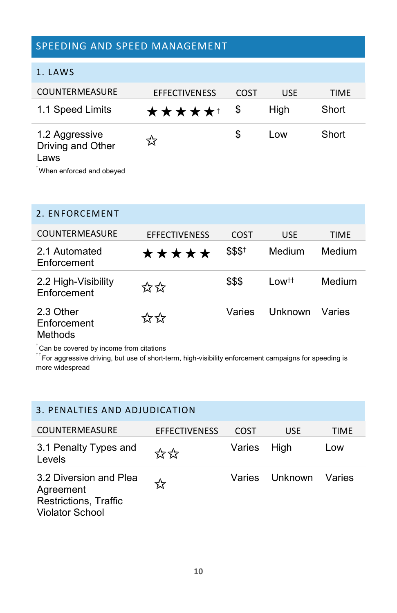#### <span id="page-10-0"></span>SPEEDING AND SPEED MANAGEMENT

<span id="page-10-1"></span>

|  | 1. LAWS |
|--|---------|
|  |         |

| <b>COUNTERMEASURE</b>                                                   | <b>EFFECTIVENESS</b> | COST | <b>USE</b> | <b>TIME</b> |
|-------------------------------------------------------------------------|----------------------|------|------------|-------------|
| 1.1 Speed Limits                                                        | ★★★★★†               | \$   | High       | Short       |
| 1.2 Aggressive<br>Driving and Other<br>Laws<br>When enforced and obeyed | ኢኛ                   | S    | Low        | Short       |

#### <span id="page-10-2"></span>2. ENFORCEMENT

| <b>COUNTERMEASURE</b>              | <b>EFFECTIVENESS</b> | COST    | <b>USE</b>       | TIME   |
|------------------------------------|----------------------|---------|------------------|--------|
| 2.1 Automated<br>Enforcement       | *****                | \$\$\$† | Medium           | Medium |
| 2.2 High-Visibility<br>Enforcement | ☆☆                   | \$\$\$  | Low <sup>†</sup> | Medium |
| 2.3 Other<br>Enforcement<br>.      | ☆☆                   | Varies  | Unknown          | Varies |

Methods

 $<sup>†</sup>$ Can be covered by income from citations</sup>

† † For aggressive driving, but use of short-term, high-visibility enforcement campaigns for speeding is more widespread

### <span id="page-10-4"></span><span id="page-10-3"></span>3. PENALTIES AND ADJUDICATION COUNTERMEASURE EFFECTIVENESS COST USE TIME 3.1 Penalty Types and Levels ✩✩ Varies High Low 3.2 Diversion and Plea Agreement Restrictions, Traffic Violator School ✩ Varies Unknown Varies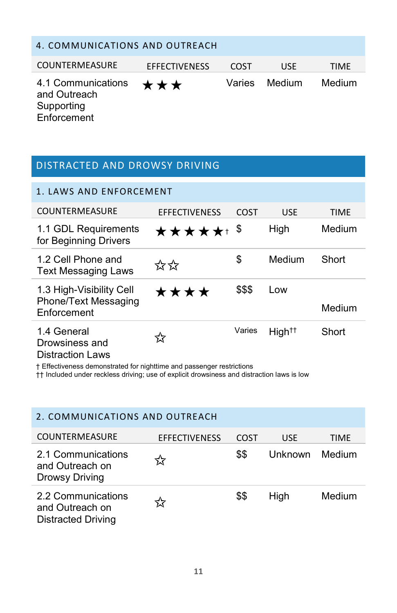| 4. COMMUNICATIONS AND OUTREACH                                  |                      |        |            |        |
|-----------------------------------------------------------------|----------------------|--------|------------|--------|
| <b>COUNTERMEASURE</b>                                           | <b>EFFECTIVENESS</b> | COST   | <b>USE</b> | TIMF   |
| 4.1 Communications<br>and Outreach<br>Supporting<br>Enforcement | ***                  | Varies | Medium     | Medium |

#### <span id="page-11-0"></span>DISTRACTED AND DROWSY DRIVING

<span id="page-11-1"></span>

| 1. LAWS AND ENFORCEMENT                                         |                      |        |                    |             |
|-----------------------------------------------------------------|----------------------|--------|--------------------|-------------|
| COUNTERMEASURE                                                  | <b>EFFECTIVENESS</b> | COST   | <b>USE</b>         | <b>TIME</b> |
| 1.1 GDL Requirements<br>for Beginning Drivers                   | <b>★★★★★</b> + \$    |        | High               | Medium      |
| 1.2 Cell Phone and<br><b>Text Messaging Laws</b>                | ☆☆                   | \$     | Medium             | Short       |
| 1.3 High-Visibility Cell<br>Phone/Text Messaging<br>Enforcement | ****                 | \$\$\$ | Low                | Medium      |
| 1.4 General<br>Drowsiness and<br>Distraction Louis              | ☆                    | Varies | High <sup>††</sup> | Short       |

Distraction Laws

† Effectiveness demonstrated for nighttime and passenger restrictions

†† Included under reckless driving; use of explicit drowsiness and distraction laws is low

<span id="page-11-2"></span>

| 2. COMMUNICATIONS AND OUTREACH                                     |                      |      |         |             |
|--------------------------------------------------------------------|----------------------|------|---------|-------------|
| <b>COUNTERMEASURE</b>                                              | <b>EFFECTIVENESS</b> | COST | USE     | <b>TIME</b> |
| 2.1 Communications<br>and Outreach on<br>Drowsy Driving            | ☆                    | \$\$ | Unknown | Medium      |
| 2.2 Communications<br>and Outreach on<br><b>Distracted Driving</b> | ☆                    | \$\$ | High    | Medium      |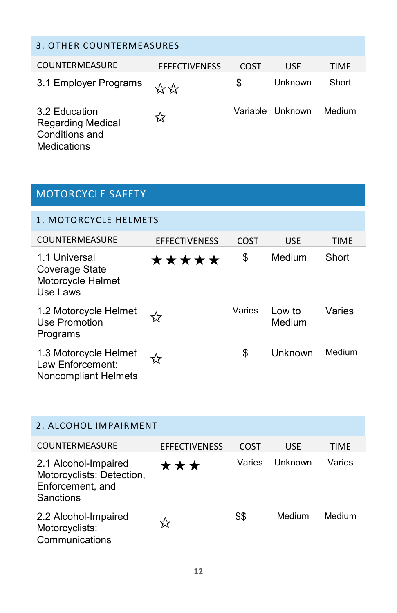<span id="page-12-0"></span>

| 3. OTHER COUNTERMEASURES                                                   |                      |      |                  |        |
|----------------------------------------------------------------------------|----------------------|------|------------------|--------|
| <b>COUNTERMEASURE</b>                                                      | <b>EFFECTIVENESS</b> | COST | USE              | TIMF   |
| 3.1 Employer Programs                                                      | ☆☆                   | \$   | Unknown          | Short  |
| 3.2 Education<br><b>Regarding Medical</b><br>Conditions and<br>Medications | ≾አ                   |      | Variable Unknown | Medium |

<span id="page-12-2"></span><span id="page-12-1"></span>

| <b>MOTORCYCLE SAFETY</b>                                          |                      |        |                  |             |
|-------------------------------------------------------------------|----------------------|--------|------------------|-------------|
| 1. MOTORCYCLE HELMETS                                             |                      |        |                  |             |
| COUNTERMEASURE                                                    | <b>EFFECTIVENESS</b> | COST   | <b>USE</b>       | <b>TIME</b> |
| 1.1 Universal<br>Coverage State<br>Motorcycle Helmet<br>Use Laws  | *****                | \$     | Medium           | Short       |
| 1.2 Motorcycle Helmet<br>Use Promotion<br>Programs                |                      | Varies | Low to<br>Medium | Varies      |
| 1.3 Motorcycle Helmet<br>Law Enforcement:<br>Noncompliant Helmets | ম                    | \$     | Unknown          | Medium      |

<span id="page-12-3"></span>

| 2. ALCOHOL IMPAIRMENT                                                              |                      |        |            |        |
|------------------------------------------------------------------------------------|----------------------|--------|------------|--------|
| <b>COUNTERMEASURE</b>                                                              | <b>EFFECTIVENESS</b> | COST   | <b>USF</b> | TIMF   |
| 2.1 Alcohol-Impaired<br>Motorcyclists: Detection,<br>Enforcement, and<br>Sanctions | ★★★                  | Varies | Unknown    | Varies |
| 2.2 Alcohol-Impaired<br>Motorcyclists:<br>Communications                           |                      | \$\$   | Medium     | Medium |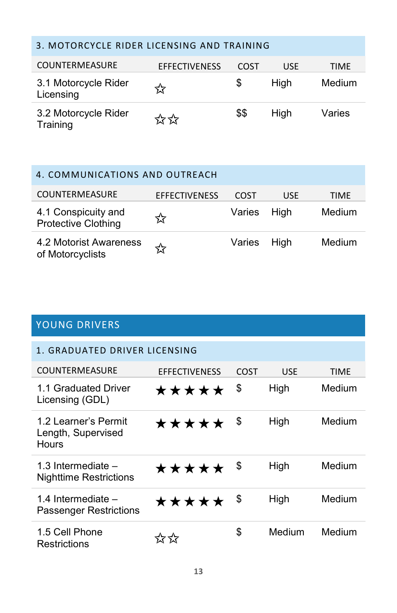#### <span id="page-13-0"></span>3. MOTORCYCLE RIDER LICENSING AND TRAINING

| <b>COUNTERMEASURE</b>             | <b>EFFECTIVENESS</b> | COST | USE  | <b>TIME</b> |
|-----------------------------------|----------------------|------|------|-------------|
| 3.1 Motorcycle Rider<br>Licensing | মে                   | S    | Hiah | Medium      |
| 3.2 Motorcycle Rider<br>Training  | ☆☆                   | \$\$ | Hiah | Varies      |

## <span id="page-13-1"></span>4. COMMUNICATIONS AND OUTREACH COUNTERMEASURE EFFECTIVENESS COST USE TIME 4.1 Conspicuity and 4.1 Conspicuity and  $\lambda$  Varies High Medium Protective Clothing  $\lambda$ 4.2 Motorist Awareness of Motorcyclists ✩ Varies High Medium

### <span id="page-13-2"></span>YOUNG DRIVERS

<span id="page-13-3"></span>

| 1. GRADUATED DRIVER LICENSING                              |                      |      |            |             |  |
|------------------------------------------------------------|----------------------|------|------------|-------------|--|
| COUNTERMEASURE                                             | <b>EFFECTIVENESS</b> | COST | <b>USE</b> | <b>TIMF</b> |  |
| 1.1 Graduated Driver<br>Licensing (GDL)                    | *****                | S    | High       | Medium      |  |
| 1.2 Learner's Permit<br>Length, Supervised<br><b>Hours</b> | *****                | - \$ | High       | Medium      |  |
| 1.3 Intermediate $-$<br><b>Nighttime Restrictions</b>      | *****                | \$   | High       | Medium      |  |
| 1.4 Intermediate –<br><b>Passenger Restrictions</b>        | *****                | - \$ | High       | Medium      |  |
| 1.5 Cell Phone<br>Restrictions                             | イケイケ                 | \$   | Medium     | Medium      |  |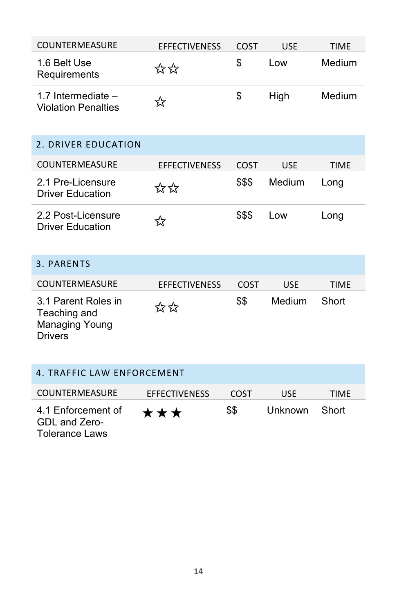<span id="page-14-3"></span><span id="page-14-2"></span><span id="page-14-1"></span><span id="page-14-0"></span>

| COUNTERMEASURE                                                                 | <b>EFFECTIVENESS</b> | COST        | <b>USE</b> | <b>TIME</b> |
|--------------------------------------------------------------------------------|----------------------|-------------|------------|-------------|
| 1.6 Belt Use<br>Requirements                                                   | ☆☆                   | \$          | Low        | Medium      |
| 1.7 Intermediate $-$<br><b>Violation Penalties</b>                             | ☆                    | \$          | High       | Medium      |
| 2. DRIVER EDUCATION                                                            |                      |             |            |             |
| COUNTERMEASURE                                                                 | <b>EFFECTIVENESS</b> | <b>COST</b> | <b>USE</b> | <b>TIME</b> |
| 2.1 Pre-Licensure<br><b>Driver Education</b>                                   | ☆☆                   | \$\$\$      | Medium     | Long        |
| 2.2 Post-Licensure<br><b>Driver Education</b>                                  | ☆                    | \$\$\$      | Low        | Long        |
| 3. PARENTS                                                                     |                      |             |            |             |
| COUNTERMEASURE                                                                 | <b>EFFECTIVENESS</b> | COST        | <b>USE</b> | <b>TIME</b> |
| 3.1 Parent Roles in<br>Teaching and<br><b>Managing Young</b><br><b>Drivers</b> | ☆☆                   | \$\$        | Medium     | Short       |
| 4. TRAFFIC LAW ENFORCEMENT                                                     |                      |             |            |             |
| COUNTERMEASURE                                                                 | <b>EFFECTIVENESS</b> | COST        | <b>USE</b> | <b>TIME</b> |
| 4.1 Enforcement of<br>GDL and Zero-<br><b>Tolerance Laws</b>                   | ★★★                  | \$\$        | Unknown    | Short       |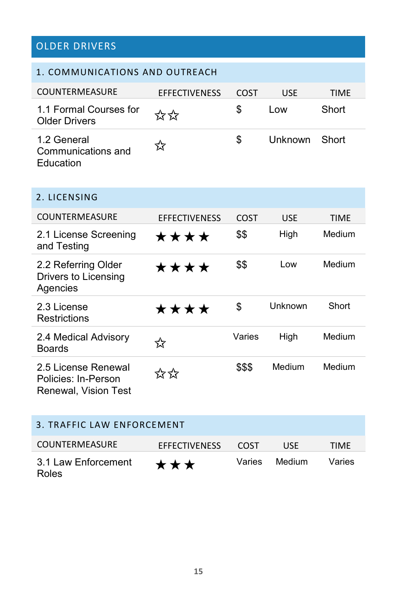## OLDER DRIVERS

<span id="page-15-3"></span><span id="page-15-2"></span><span id="page-15-1"></span><span id="page-15-0"></span>

| 1. COMMUNICATIONS AND OUTREACH                                     |                      |             |            |        |  |
|--------------------------------------------------------------------|----------------------|-------------|------------|--------|--|
| <b>COUNTERMEASURE</b>                                              | <b>EFFECTIVENESS</b> | <b>COST</b> | USE        | TIME   |  |
| 1.1 Formal Courses for<br>Older Drivers                            | ☆☆                   | \$          | Low        | Short  |  |
| 1.2 General<br>Communications and<br>Education                     | ☆                    | \$          | Unknown    | Short  |  |
| 2. LICENSING                                                       |                      |             |            |        |  |
| <b>COUNTERMEASURE</b>                                              | <b>EFFECTIVENESS</b> | <b>COST</b> | <b>USE</b> | TIME   |  |
| 2.1 License Screening<br>and Testing                               | ★★★★                 | \$\$        | High       | Medium |  |
| 2.2 Referring Older<br>Drivers to Licensing<br>Agencies            | ****                 | \$\$        | Low        | Medium |  |
| 2.3 License<br><b>Restrictions</b>                                 | ★★★★                 | \$          | Unknown    | Short  |  |
| 2.4 Medical Advisory<br><b>Boards</b>                              | ☆                    | Varies      | High       | Medium |  |
| 2.5 License Renewal<br>Policies: In-Person<br>Renewal, Vision Test | ☆☆                   | \$\$\$      | Medium     | Medium |  |
| <b>3. TRAFFIC LAW ENFORCEMENT</b>                                  |                      |             |            |        |  |
| <b>COUNTERMEASURE</b>                                              | <b>EFFECTIVENESS</b> | <b>COST</b> | USE        | TIME   |  |
| 3.1 Law Enforcement<br>Roles                                       | ★★★                  | Varies      | Medium     | Varies |  |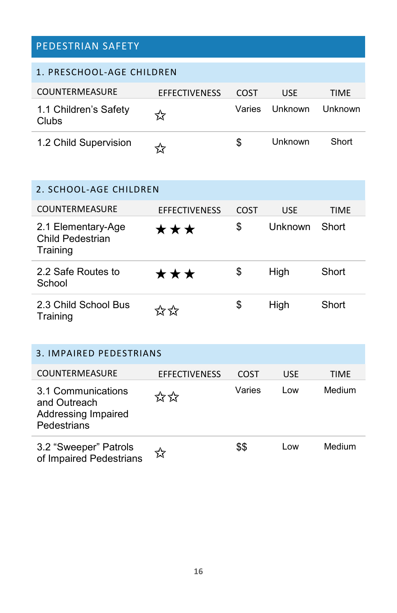### PEDESTRIAN SAFETY

<span id="page-16-0"></span>

| 1. PRESCHOOL-AGE CHILDREN      |                      |        |            |         |
|--------------------------------|----------------------|--------|------------|---------|
| <b>COUNTERMEASURE</b>          | <b>EFFECTIVENESS</b> | COST   | <b>USE</b> | TIMF    |
| 1.1 Children's Safety<br>Clubs | ☆                    | Varies | Unknown    | Unknown |
| 1.2 Child Supervision          | ≺≻                   | S      | Unknown    | Short   |

<span id="page-16-1"></span>

| 2. SCHOOL-AGE CHILDREN                             |                             |      |            |             |
|----------------------------------------------------|-----------------------------|------|------------|-------------|
| <b>COUNTERMEASURE</b>                              | <b>EFFECTIVENESS</b>        | COST | <b>USE</b> | <b>TIME</b> |
| 2.1 Elementary-Age<br>Child Pedestrian<br>Training | ***                         | \$   | Unknown    | Short       |
| 2.2 Safe Routes to<br>School                       | ***                         | \$   | High       | Short       |
| 2.3 Child School Bus<br>Training                   | $\frac{1}{2}$ $\frac{1}{2}$ | \$   | High       | Short       |

<span id="page-16-2"></span>

| 3. IMPAIRED PEDESTRIANS                                                  |                      |        |            |        |
|--------------------------------------------------------------------------|----------------------|--------|------------|--------|
| <b>COUNTERMEASURE</b>                                                    | <b>EFFECTIVENESS</b> | COST   | <b>USE</b> | TIME   |
| 3.1 Communications<br>and Outreach<br>Addressing Impaired<br>Pedestrians | ☆☆                   | Varies | l ow       | Medium |
| 3.2 "Sweeper" Patrols<br>of Impaired Pedestrians                         | মৈ                   | \$\$   | l ow       | Medium |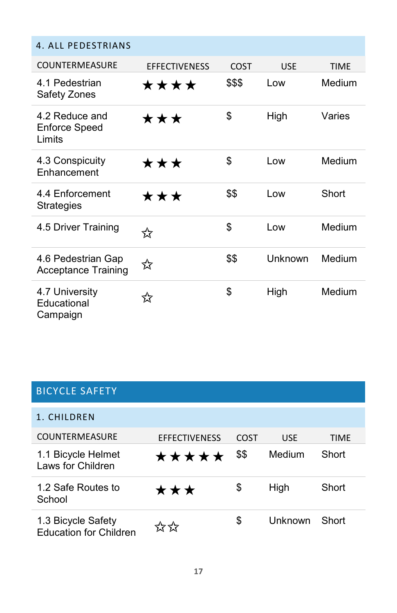#### <span id="page-17-0"></span>4. ALL PEDESTRIANS

| <b>COUNTERMEASURE</b>                            | <b>EFFECTIVENESS</b> | COST   | <b>USF</b> | <b>TIMF</b> |
|--------------------------------------------------|----------------------|--------|------------|-------------|
| 4.1 Pedestrian<br>Safety Zones                   | ****                 | \$\$\$ | Low        | Medium      |
| 4.2 Reduce and<br><b>Enforce Speed</b><br>Limits | ★★★                  | \$     | High       | Varies      |
| 4.3 Conspicuity<br>Enhancement                   | ★★★                  | \$     | Low        | Medium      |
| 4.4 Enforcement<br>Strategies                    | ★★★                  | \$\$   | Low        | Short       |
| 4.5 Driver Training                              | ☆                    | \$     | Low        | Medium      |
| 4.6 Pedestrian Gap<br><b>Acceptance Training</b> | ☆                    | \$\$   | Unknown    | Medium      |
| 4.7 University<br>Educational<br>Campaign        | ☆                    | \$     | High       | Medium      |

### <span id="page-17-1"></span>BICYCLE SAFETY

<span id="page-17-2"></span>

| 1. CHILDREN                                         |                      |      |            |             |
|-----------------------------------------------------|----------------------|------|------------|-------------|
| <b>COUNTERMEASURE</b>                               | <b>EFFECTIVENESS</b> | COST | <b>USE</b> | <b>TIMF</b> |
| 1.1 Bicycle Helmet<br>Laws for Children             | *****                | \$\$ | Medium     | Short       |
| 1.2 Safe Routes to<br>School                        | ***                  | \$   | High       | Short       |
| 1.3 Bicycle Safety<br><b>Education for Children</b> | לה לה                | S    | Unknown    | Short       |